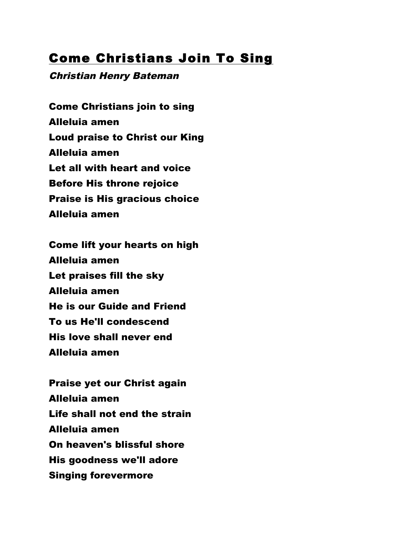# Come Christians Join To Sing

#### Christian Henry Bateman

Come Christians join to sing Alleluia amen Loud praise to Christ our King Alleluia amen Let all with heart and voice Before His throne rejoice Praise is His gracious choice Alleluia amen

Come lift your hearts on high Alleluia amen Let praises fill the sky Alleluia amen He is our Guide and Friend To us He'll condescend His love shall never end Alleluia amen

Praise yet our Christ again Alleluia amen Life shall not end the strain Alleluia amen On heaven's blissful shore His goodness we'll adore Singing forevermore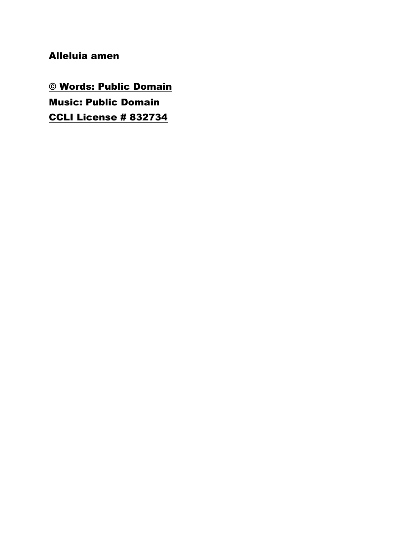Alleluia amen

© Words: Public Domain Music: Public Domain CCLI License # 832734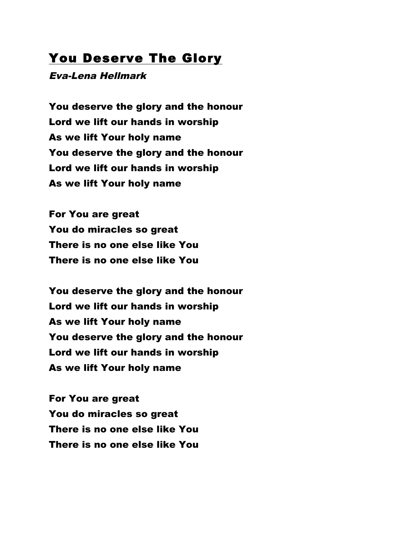## You Deserve The Glory

#### Eva-Lena Hellmark

You deserve the glory and the honour Lord we lift our hands in worship As we lift Your holy name You deserve the glory and the honour Lord we lift our hands in worship As we lift Your holy name

For You are great You do miracles so great There is no one else like You There is no one else like You

You deserve the glory and the honour Lord we lift our hands in worship As we lift Your holy name You deserve the glory and the honour Lord we lift our hands in worship As we lift Your holy name

For You are great You do miracles so great There is no one else like You There is no one else like You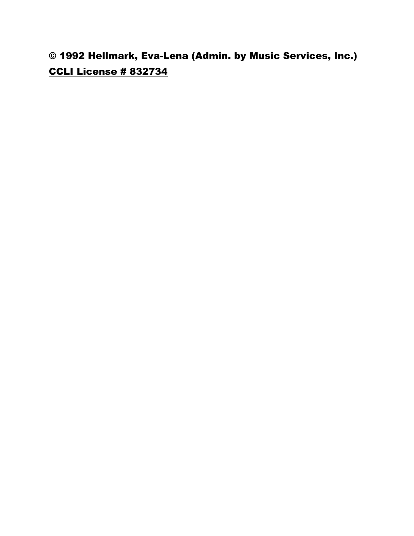## © 1992 Hellmark, Eva-Lena (Admin. by Music Services, Inc.) CCLI License # 832734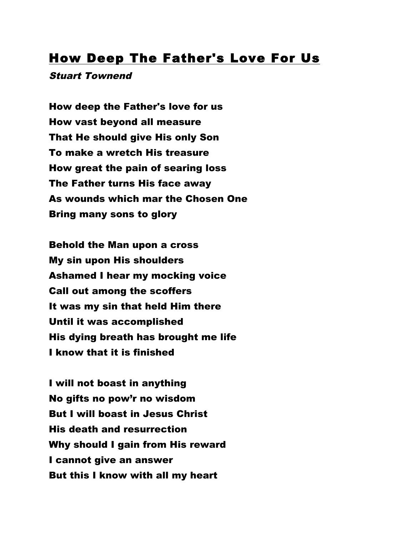### How Deep The Father's Love For Us

#### Stuart Townend

How deep the Father's love for us How vast beyond all measure That He should give His only Son To make a wretch His treasure How great the pain of searing loss The Father turns His face away As wounds which mar the Chosen One Bring many sons to glory

Behold the Man upon a cross My sin upon His shoulders Ashamed I hear my mocking voice Call out among the scoffers It was my sin that held Him there Until it was accomplished His dying breath has brought me life I know that it is finished

I will not boast in anything No gifts no pow'r no wisdom But I will boast in Jesus Christ His death and resurrection Why should I gain from His reward I cannot give an answer But this I know with all my heart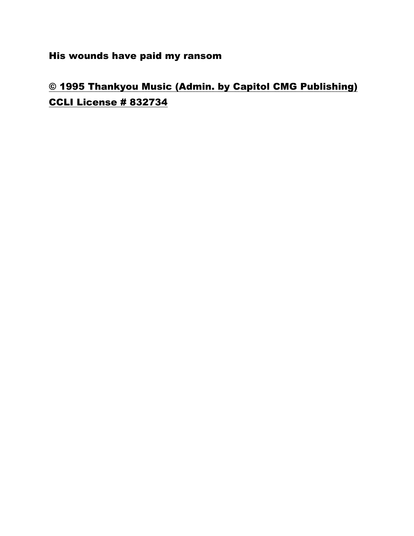His wounds have paid my ransom

## © 1995 Thankyou Music (Admin. by Capitol CMG Publishing) CCLI License # 832734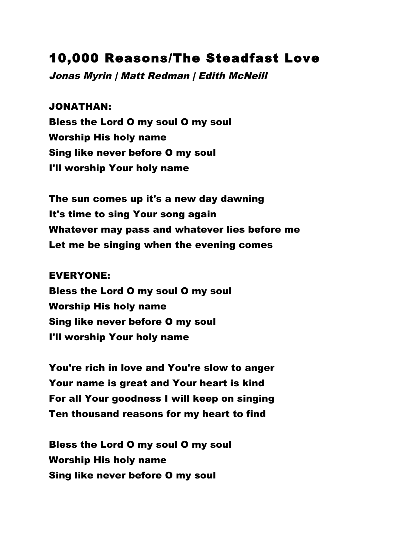# 10,000 Reasons/The Steadfast Love

Jonas Myrin | Matt Redman | Edith McNeill

#### JONATHAN:

Bless the Lord O my soul O my soul Worship His holy name Sing like never before O my soul I'll worship Your holy name

The sun comes up it's a new day dawning It's time to sing Your song again Whatever may pass and whatever lies before me Let me be singing when the evening comes

#### EVERYONE:

Bless the Lord O my soul O my soul Worship His holy name Sing like never before O my soul I'll worship Your holy name

You're rich in love and You're slow to anger Your name is great and Your heart is kind For all Your goodness I will keep on singing Ten thousand reasons for my heart to find

Bless the Lord O my soul O my soul Worship His holy name Sing like never before O my soul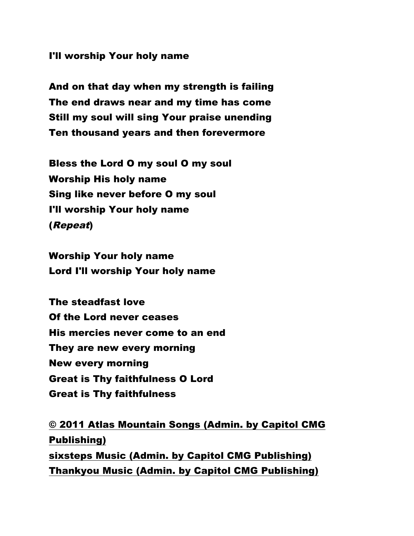#### I'll worship Your holy name

And on that day when my strength is failing The end draws near and my time has come Still my soul will sing Your praise unending Ten thousand years and then forevermore

Bless the Lord O my soul O my soul Worship His holy name Sing like never before O my soul I'll worship Your holy name (Repeat)

Worship Your holy name Lord I'll worship Your holy name

The steadfast love Of the Lord never ceases His mercies never come to an end They are new every morning New every morning Great is Thy faithfulness O Lord Great is Thy faithfulness

© 2011 Atlas Mountain Songs (Admin. by Capitol CMG Publishing) sixsteps Music (Admin. by Capitol CMG Publishing) Thankyou Music (Admin. by Capitol CMG Publishing)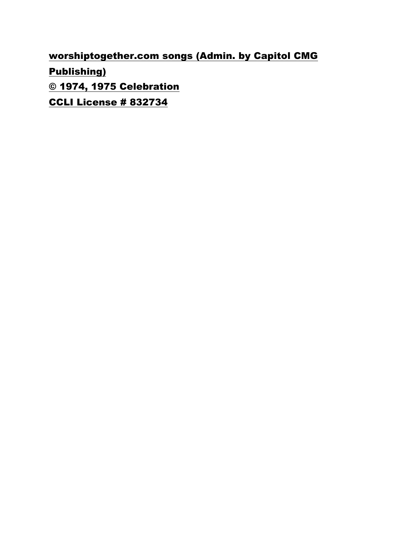worshiptogether.com songs (Admin. by Capitol CMG Publishing) © 1974, 1975 Celebration

CCLI License # 832734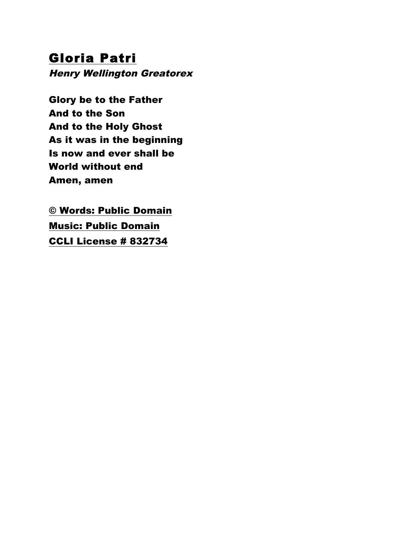# Gloria Patri

Henry Wellington Greatorex

Glory be to the Father And to the Son And to the Holy Ghost As it was in the beginning Is now and ever shall be World without end Amen, amen

© Words: Public Domain Music: Public Domain CCLI License # 832734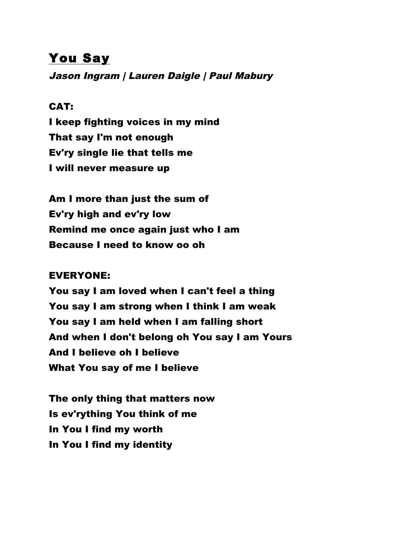# You Say

Jason Ingram | Lauren Daigle | Paul Mabury

#### CAT:

I keep fighting voices in my mind That say I'm not enough Ev'ry single lie that tells me I will never measure up

Am I more than just the sum of Ev'ry high and ev'ry low Remind me once again just who I am Because I need to know oo oh

#### EVERYONE:

You say I am loved when I can't feel a thing You say I am strong when I think I am weak You say I am held when I am falling short And when I don't belong oh You say I am Yours And I believe oh I believe What You say of me I believe

The only thing that matters now Is ev'rything You think of me In You I find my worth In You I find my identity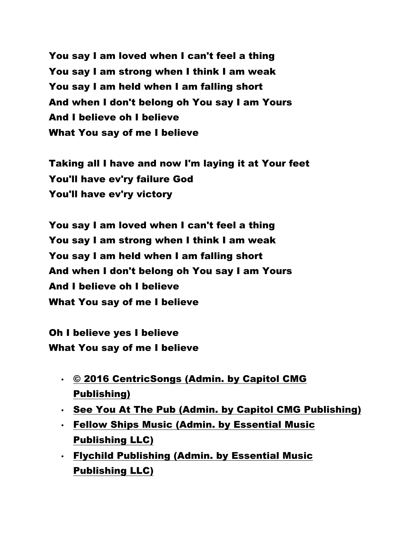You say I am loved when I can't feel a thing You say I am strong when I think I am weak You say I am held when I am falling short And when I don't belong oh You say I am Yours And I believe oh I believe What You say of me I believe

Taking all I have and now I'm laying it at Your feet You'll have ev'ry failure God You'll have ev'ry victory

You say I am loved when I can't feel a thing You say I am strong when I think I am weak You say I am held when I am falling short And when I don't belong oh You say I am Yours And I believe oh I believe What You say of me I believe

Oh I believe yes I believe What You say of me I believe

- © 2016 CentricSongs (Admin. by Capitol CMG Publishing)
- See You At The Pub (Admin. by Capitol CMG Publishing)
- Fellow Ships Music (Admin. by Essential Music Publishing LLC)
- Flychild Publishing (Admin. by Essential Music Publishing LLC)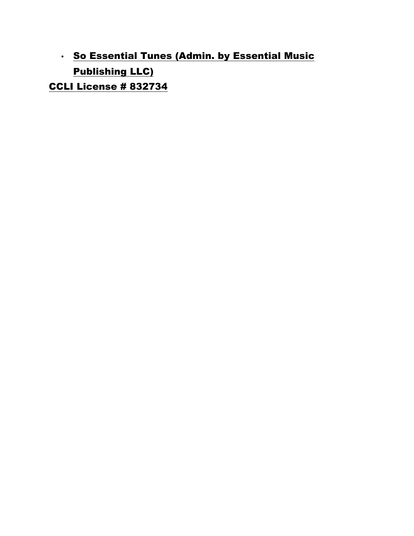• So Essential Tunes (Admin. by Essential Music Publishing LLC) CCLI License # 832734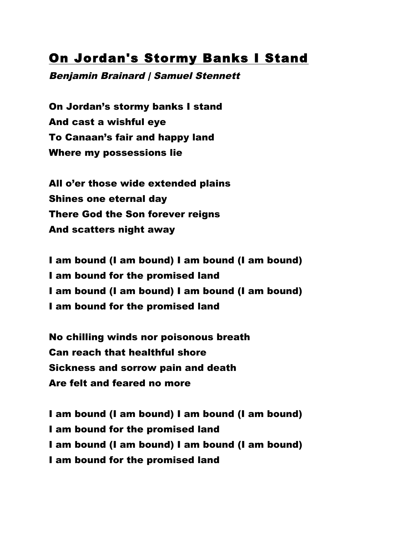## On Jordan's Stormy Banks I Stand

Benjamin Brainard | Samuel Stennett

On Jordan's stormy banks I stand And cast a wishful eye To Canaan's fair and happy land Where my possessions lie

All o'er those wide extended plains Shines one eternal day There God the Son forever reigns And scatters night away

I am bound (I am bound) I am bound (I am bound) I am bound for the promised land I am bound (I am bound) I am bound (I am bound) I am bound for the promised land

No chilling winds nor poisonous breath Can reach that healthful shore Sickness and sorrow pain and death Are felt and feared no more

I am bound (I am bound) I am bound (I am bound) I am bound for the promised land I am bound (I am bound) I am bound (I am bound) I am bound for the promised land